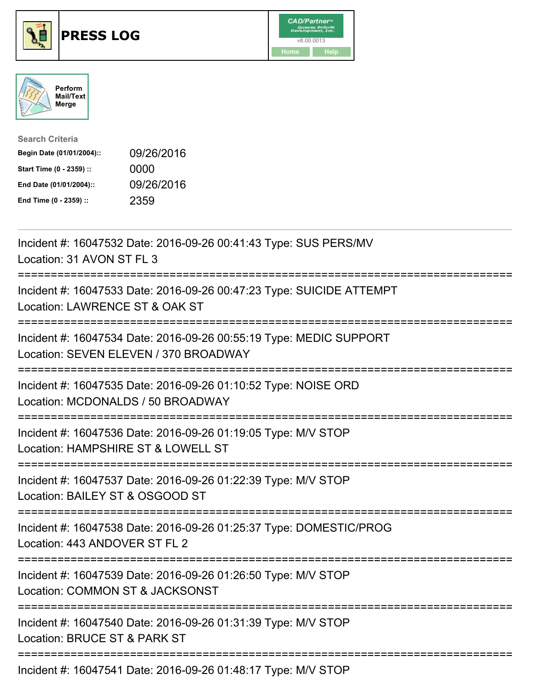

## **PRESS LOG** v8.00.0013





| <b>Search Criteria</b>    |            |
|---------------------------|------------|
| Begin Date (01/01/2004):: | 09/26/2016 |
| Start Time (0 - 2359) ::  | 0000       |
| End Date (01/01/2004)::   | 09/26/2016 |
| End Time (0 - 2359) ::    | 2359       |

Incident #: 16047532 Date: 2016-09-26 00:41:43 Type: SUS PERS/MV Location: 31 AVON ST FL 3 =========================================================================== Incident #: 16047533 Date: 2016-09-26 00:47:23 Type: SUICIDE ATTEMPT Location: LAWRENCE ST & OAK ST =========================================================================== Incident #: 16047534 Date: 2016-09-26 00:55:19 Type: MEDIC SUPPORT Location: SEVEN ELEVEN / 370 BROADWAY =========================================================================== Incident #: 16047535 Date: 2016-09-26 01:10:52 Type: NOISE ORD Location: MCDONALDS / 50 BROADWAY =========================================================================== Incident #: 16047536 Date: 2016-09-26 01:19:05 Type: M/V STOP Location: HAMPSHIRE ST & LOWELL ST =========================================================================== Incident #: 16047537 Date: 2016-09-26 01:22:39 Type: M/V STOP Location: BAILEY ST & OSGOOD ST =========================================================================== Incident #: 16047538 Date: 2016-09-26 01:25:37 Type: DOMESTIC/PROG Location: 443 ANDOVER ST FL 2 =========================================================================== Incident #: 16047539 Date: 2016-09-26 01:26:50 Type: M/V STOP Location: COMMON ST & JACKSONST =========================================================================== Incident #: 16047540 Date: 2016-09-26 01:31:39 Type: M/V STOP Location: BRUCE ST & PARK ST ===========================================================================

Incident #: 16047541 Date: 2016-09-26 01:48:17 Type: M/V STOP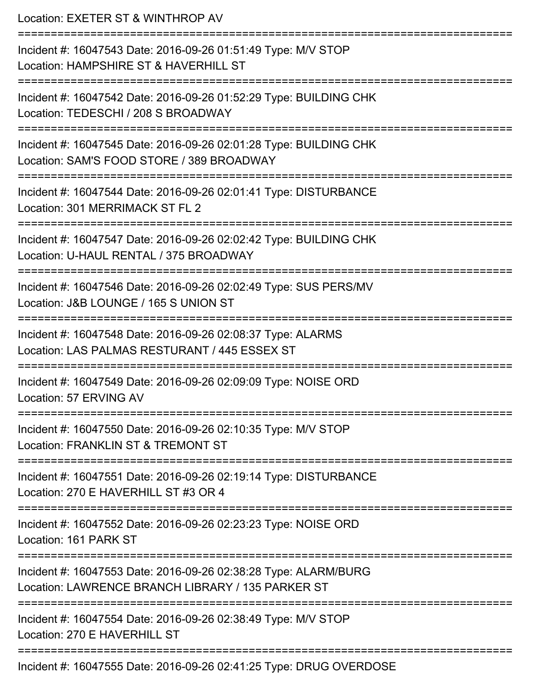Location: EXETER ST & WINTHROP AV =========================================================================== Incident #: 16047543 Date: 2016-09-26 01:51:49 Type: M/V STOP Location: HAMPSHIRE ST & HAVERHILL ST =========================================================================== Incident #: 16047542 Date: 2016-09-26 01:52:29 Type: BUILDING CHK Location: TEDESCHI / 208 S BROADWAY =========================================================================== Incident #: 16047545 Date: 2016-09-26 02:01:28 Type: BUILDING CHK Location: SAM'S FOOD STORE / 389 BROADWAY =========================================================================== Incident #: 16047544 Date: 2016-09-26 02:01:41 Type: DISTURBANCE Location: 301 MERRIMACK ST FL 2 =========================================================================== Incident #: 16047547 Date: 2016-09-26 02:02:42 Type: BUILDING CHK Location: U-HAUL RENTAL / 375 BROADWAY =========================================================================== Incident #: 16047546 Date: 2016-09-26 02:02:49 Type: SUS PERS/MV Location: J&B LOUNGE / 165 S UNION ST =========================================================================== Incident #: 16047548 Date: 2016-09-26 02:08:37 Type: ALARMS Location: LAS PALMAS RESTURANT / 445 ESSEX ST =========================================================================== Incident #: 16047549 Date: 2016-09-26 02:09:09 Type: NOISE ORD Location: 57 ERVING AV =========================================================================== Incident #: 16047550 Date: 2016-09-26 02:10:35 Type: M/V STOP Location: FRANKLIN ST & TREMONT ST =========================================================================== Incident #: 16047551 Date: 2016-09-26 02:19:14 Type: DISTURBANCE Location: 270 E HAVERHILL ST #3 OR 4 =========================================================================== Incident #: 16047552 Date: 2016-09-26 02:23:23 Type: NOISE ORD Location: 161 PARK ST =========================================================================== Incident #: 16047553 Date: 2016-09-26 02:38:28 Type: ALARM/BURG Location: LAWRENCE BRANCH LIBRARY / 135 PARKER ST =========================================================================== Incident #: 16047554 Date: 2016-09-26 02:38:49 Type: M/V STOP Location: 270 F HAVERHILL ST =========================================================================== Incident #: 16047555 Date: 2016-09-26 02:41:25 Type: DRUG OVERDOSE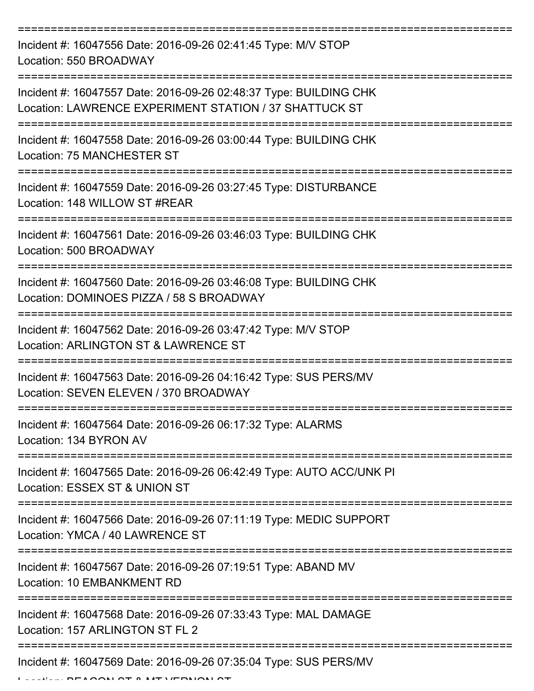| Incident #: 16047556 Date: 2016-09-26 02:41:45 Type: M/V STOP<br>Location: 550 BROADWAY                                     |
|-----------------------------------------------------------------------------------------------------------------------------|
| Incident #: 16047557 Date: 2016-09-26 02:48:37 Type: BUILDING CHK<br>Location: LAWRENCE EXPERIMENT STATION / 37 SHATTUCK ST |
| Incident #: 16047558 Date: 2016-09-26 03:00:44 Type: BUILDING CHK<br>Location: 75 MANCHESTER ST                             |
| Incident #: 16047559 Date: 2016-09-26 03:27:45 Type: DISTURBANCE<br>Location: 148 WILLOW ST #REAR                           |
| Incident #: 16047561 Date: 2016-09-26 03:46:03 Type: BUILDING CHK<br>Location: 500 BROADWAY                                 |
| Incident #: 16047560 Date: 2016-09-26 03:46:08 Type: BUILDING CHK<br>Location: DOMINOES PIZZA / 58 S BROADWAY               |
| Incident #: 16047562 Date: 2016-09-26 03:47:42 Type: M/V STOP<br>Location: ARLINGTON ST & LAWRENCE ST                       |
| Incident #: 16047563 Date: 2016-09-26 04:16:42 Type: SUS PERS/MV<br>Location: SEVEN ELEVEN / 370 BROADWAY                   |
| Incident #: 16047564 Date: 2016-09-26 06:17:32 Type: ALARMS<br>Location: 134 BYRON AV                                       |
| Incident #: 16047565 Date: 2016-09-26 06:42:49 Type: AUTO ACC/UNK PI<br>Location: ESSEX ST & UNION ST                       |
| Incident #: 16047566 Date: 2016-09-26 07:11:19 Type: MEDIC SUPPORT<br>Location: YMCA / 40 LAWRENCE ST                       |
| Incident #: 16047567 Date: 2016-09-26 07:19:51 Type: ABAND MV<br>Location: 10 EMBANKMENT RD                                 |
| Incident #: 16047568 Date: 2016-09-26 07:33:43 Type: MAL DAMAGE<br>Location: 157 ARLINGTON ST FL 2                          |
| Incident #: 16047569 Date: 2016-09-26 07:35:04 Type: SUS PERS/MV                                                            |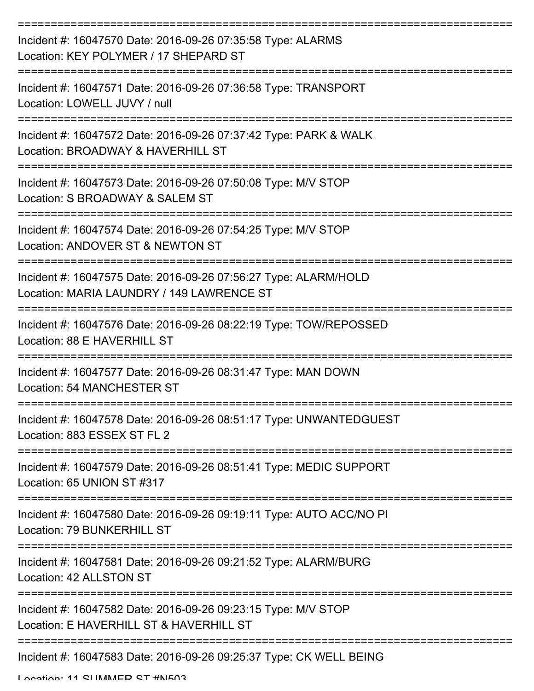| Incident #: 16047570 Date: 2016-09-26 07:35:58 Type: ALARMS<br>Location: KEY POLYMER / 17 SHEPARD ST         |
|--------------------------------------------------------------------------------------------------------------|
| Incident #: 16047571 Date: 2016-09-26 07:36:58 Type: TRANSPORT<br>Location: LOWELL JUVY / null               |
| Incident #: 16047572 Date: 2016-09-26 07:37:42 Type: PARK & WALK<br>Location: BROADWAY & HAVERHILL ST        |
| Incident #: 16047573 Date: 2016-09-26 07:50:08 Type: M/V STOP<br>Location: S BROADWAY & SALEM ST             |
| Incident #: 16047574 Date: 2016-09-26 07:54:25 Type: M/V STOP<br>Location: ANDOVER ST & NEWTON ST            |
| Incident #: 16047575 Date: 2016-09-26 07:56:27 Type: ALARM/HOLD<br>Location: MARIA LAUNDRY / 149 LAWRENCE ST |
| Incident #: 16047576 Date: 2016-09-26 08:22:19 Type: TOW/REPOSSED<br>Location: 88 E HAVERHILL ST             |
| Incident #: 16047577 Date: 2016-09-26 08:31:47 Type: MAN DOWN<br>Location: 54 MANCHESTER ST                  |
| Incident #: 16047578 Date: 2016-09-26 08:51:17 Type: UNWANTEDGUEST<br>Location: 883 ESSEX ST FL 2            |
| Incident #: 16047579 Date: 2016-09-26 08:51:41 Type: MEDIC SUPPORT<br>Location: 65 UNION ST #317             |
| Incident #: 16047580 Date: 2016-09-26 09:19:11 Type: AUTO ACC/NO PI<br>Location: 79 BUNKERHILL ST            |
| Incident #: 16047581 Date: 2016-09-26 09:21:52 Type: ALARM/BURG<br>Location: 42 ALLSTON ST                   |
| Incident #: 16047582 Date: 2016-09-26 09:23:15 Type: M/V STOP<br>Location: E HAVERHILL ST & HAVERHILL ST     |
| Incident #: 16047583 Date: 2016-09-26 09:25:37 Type: CK WELL BEING                                           |

Location: 11 CLIMMACD CT #NIE03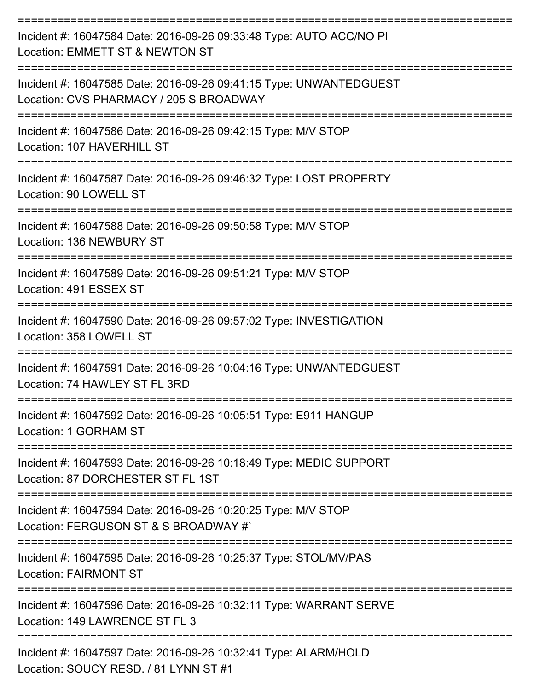| Incident #: 16047584 Date: 2016-09-26 09:33:48 Type: AUTO ACC/NO PI<br>Location: EMMETT ST & NEWTON ST        |
|---------------------------------------------------------------------------------------------------------------|
| Incident #: 16047585 Date: 2016-09-26 09:41:15 Type: UNWANTEDGUEST<br>Location: CVS PHARMACY / 205 S BROADWAY |
| Incident #: 16047586 Date: 2016-09-26 09:42:15 Type: M/V STOP<br>Location: 107 HAVERHILL ST                   |
| Incident #: 16047587 Date: 2016-09-26 09:46:32 Type: LOST PROPERTY<br>Location: 90 LOWELL ST                  |
| Incident #: 16047588 Date: 2016-09-26 09:50:58 Type: M/V STOP<br>Location: 136 NEWBURY ST                     |
| Incident #: 16047589 Date: 2016-09-26 09:51:21 Type: M/V STOP<br>Location: 491 ESSEX ST                       |
| Incident #: 16047590 Date: 2016-09-26 09:57:02 Type: INVESTIGATION<br>Location: 358 LOWELL ST                 |
| Incident #: 16047591 Date: 2016-09-26 10:04:16 Type: UNWANTEDGUEST<br>Location: 74 HAWLEY ST FL 3RD           |
| Incident #: 16047592 Date: 2016-09-26 10:05:51 Type: E911 HANGUP<br>Location: 1 GORHAM ST                     |
| Incident #: 16047593 Date: 2016-09-26 10:18:49 Type: MEDIC SUPPORT<br>Location: 87 DORCHESTER ST FL 1ST       |
| Incident #: 16047594 Date: 2016-09-26 10:20:25 Type: M/V STOP<br>Location: FERGUSON ST & S BROADWAY #`        |
| Incident #: 16047595 Date: 2016-09-26 10:25:37 Type: STOL/MV/PAS<br><b>Location: FAIRMONT ST</b>              |
| Incident #: 16047596 Date: 2016-09-26 10:32:11 Type: WARRANT SERVE<br>Location: 149 LAWRENCE ST FL 3          |
| Incident #: 16047597 Date: 2016-09-26 10:32:41 Type: ALARM/HOLD<br>Location: SOUCY RESD. / 81 LYNN ST #1      |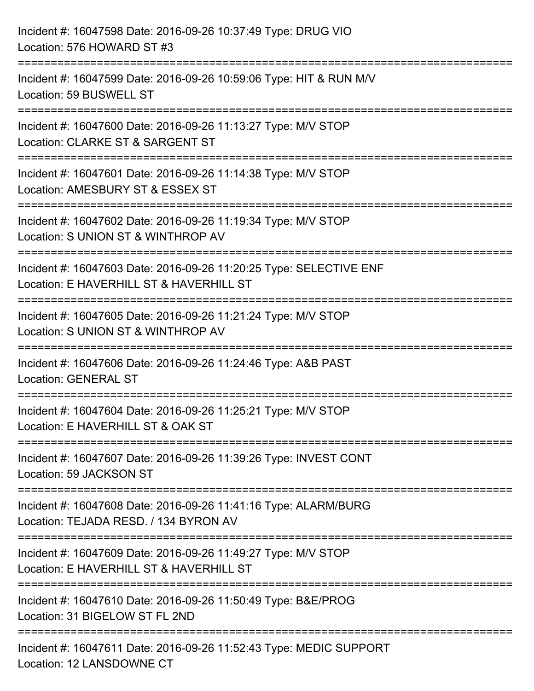| Incident #: 16047598 Date: 2016-09-26 10:37:49 Type: DRUG VIO<br>Location: 576 HOWARD ST #3                                                                                          |
|--------------------------------------------------------------------------------------------------------------------------------------------------------------------------------------|
| :=====================================<br>Incident #: 16047599 Date: 2016-09-26 10:59:06 Type: HIT & RUN M/V<br>Location: 59 BUSWELL ST                                              |
| ----------------------------------<br>Incident #: 16047600 Date: 2016-09-26 11:13:27 Type: M/V STOP<br>Location: CLARKE ST & SARGENT ST                                              |
| Incident #: 16047601 Date: 2016-09-26 11:14:38 Type: M/V STOP<br>Location: AMESBURY ST & ESSEX ST<br>:===========================                                                    |
| Incident #: 16047602 Date: 2016-09-26 11:19:34 Type: M/V STOP<br>Location: S UNION ST & WINTHROP AV                                                                                  |
| Incident #: 16047603 Date: 2016-09-26 11:20:25 Type: SELECTIVE ENF<br>Location: E HAVERHILL ST & HAVERHILL ST<br>--------------------------<br>------------------------------------- |
| Incident #: 16047605 Date: 2016-09-26 11:21:24 Type: M/V STOP<br>Location: S UNION ST & WINTHROP AV                                                                                  |
| Incident #: 16047606 Date: 2016-09-26 11:24:46 Type: A&B PAST<br><b>Location: GENERAL ST</b>                                                                                         |
| Incident #: 16047604 Date: 2016-09-26 11:25:21 Type: M/V STOP<br>Location: E HAVERHILL ST & OAK ST                                                                                   |
| Incident #: 16047607 Date: 2016-09-26 11:39:26 Type: INVEST CONT<br>Location: 59 JACKSON ST                                                                                          |
| Incident #: 16047608 Date: 2016-09-26 11:41:16 Type: ALARM/BURG<br>Location: TEJADA RESD. / 134 BYRON AV                                                                             |
| ------------------------------<br>Incident #: 16047609 Date: 2016-09-26 11:49:27 Type: M/V STOP<br>Location: E HAVERHILL ST & HAVERHILL ST                                           |
| Incident #: 16047610 Date: 2016-09-26 11:50:49 Type: B&E/PROG<br>Location: 31 BIGELOW ST FL 2ND                                                                                      |
| Incident #: 16047611 Date: 2016-09-26 11:52:43 Type: MEDIC SUPPORT<br>Location: 12 LANSDOWNE CT                                                                                      |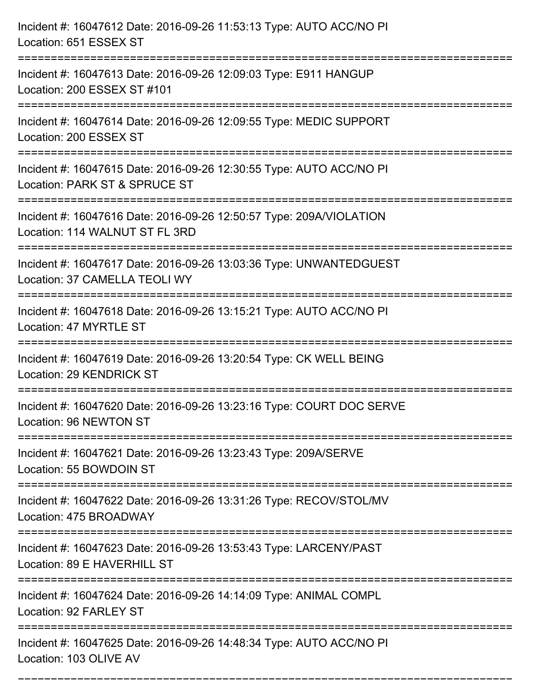| Incident #: 16047612 Date: 2016-09-26 11:53:13 Type: AUTO ACC/NO PI<br>Location: 651 ESSEX ST                                    |
|----------------------------------------------------------------------------------------------------------------------------------|
| Incident #: 16047613 Date: 2016-09-26 12:09:03 Type: E911 HANGUP<br>Location: 200 ESSEX ST #101                                  |
| Incident #: 16047614 Date: 2016-09-26 12:09:55 Type: MEDIC SUPPORT<br>Location: 200 ESSEX ST<br>================================ |
| Incident #: 16047615 Date: 2016-09-26 12:30:55 Type: AUTO ACC/NO PI<br>Location: PARK ST & SPRUCE ST                             |
| Incident #: 16047616 Date: 2016-09-26 12:50:57 Type: 209A/VIOLATION<br>Location: 114 WALNUT ST FL 3RD                            |
| Incident #: 16047617 Date: 2016-09-26 13:03:36 Type: UNWANTEDGUEST<br>Location: 37 CAMELLA TEOLI WY                              |
| Incident #: 16047618 Date: 2016-09-26 13:15:21 Type: AUTO ACC/NO PI<br>Location: 47 MYRTLE ST                                    |
| Incident #: 16047619 Date: 2016-09-26 13:20:54 Type: CK WELL BEING<br><b>Location: 29 KENDRICK ST</b>                            |
| Incident #: 16047620 Date: 2016-09-26 13:23:16 Type: COURT DOC SERVE<br>Location: 96 NEWTON ST                                   |
| Incident #: 16047621 Date: 2016-09-26 13:23:43 Type: 209A/SERVE<br>Location: 55 BOWDOIN ST                                       |
| Incident #: 16047622 Date: 2016-09-26 13:31:26 Type: RECOV/STOL/MV<br>Location: 475 BROADWAY                                     |
| Incident #: 16047623 Date: 2016-09-26 13:53:43 Type: LARCENY/PAST<br>Location: 89 E HAVERHILL ST                                 |
| Incident #: 16047624 Date: 2016-09-26 14:14:09 Type: ANIMAL COMPL<br>Location: 92 FARLEY ST                                      |
| Incident #: 16047625 Date: 2016-09-26 14:48:34 Type: AUTO ACC/NO PI<br>Location: 103 OLIVE AV                                    |

===========================================================================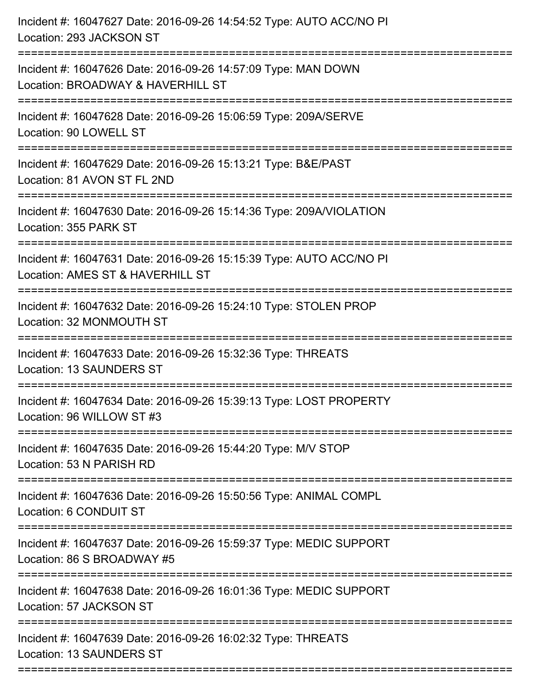| Incident #: 16047627 Date: 2016-09-26 14:54:52 Type: AUTO ACC/NO PI<br>Location: 293 JACKSON ST         |
|---------------------------------------------------------------------------------------------------------|
| Incident #: 16047626 Date: 2016-09-26 14:57:09 Type: MAN DOWN<br>Location: BROADWAY & HAVERHILL ST      |
| Incident #: 16047628 Date: 2016-09-26 15:06:59 Type: 209A/SERVE<br>Location: 90 LOWELL ST               |
| Incident #: 16047629 Date: 2016-09-26 15:13:21 Type: B&E/PAST<br>Location: 81 AVON ST FL 2ND            |
| Incident #: 16047630 Date: 2016-09-26 15:14:36 Type: 209A/VIOLATION<br>Location: 355 PARK ST            |
| Incident #: 16047631 Date: 2016-09-26 15:15:39 Type: AUTO ACC/NO PI<br>Location: AMES ST & HAVERHILL ST |
| Incident #: 16047632 Date: 2016-09-26 15:24:10 Type: STOLEN PROP<br>Location: 32 MONMOUTH ST            |
| Incident #: 16047633 Date: 2016-09-26 15:32:36 Type: THREATS<br>Location: 13 SAUNDERS ST                |
| Incident #: 16047634 Date: 2016-09-26 15:39:13 Type: LOST PROPERTY<br>Location: 96 WILLOW ST #3         |
| Incident #: 16047635 Date: 2016-09-26 15:44:20 Type: M/V STOP<br>Location: 53 N PARISH RD               |
| Incident #: 16047636 Date: 2016-09-26 15:50:56 Type: ANIMAL COMPL<br>Location: 6 CONDUIT ST             |
| Incident #: 16047637 Date: 2016-09-26 15:59:37 Type: MEDIC SUPPORT<br>Location: 86 S BROADWAY #5        |
| Incident #: 16047638 Date: 2016-09-26 16:01:36 Type: MEDIC SUPPORT<br>Location: 57 JACKSON ST           |
| Incident #: 16047639 Date: 2016-09-26 16:02:32 Type: THREATS<br>Location: 13 SAUNDERS ST                |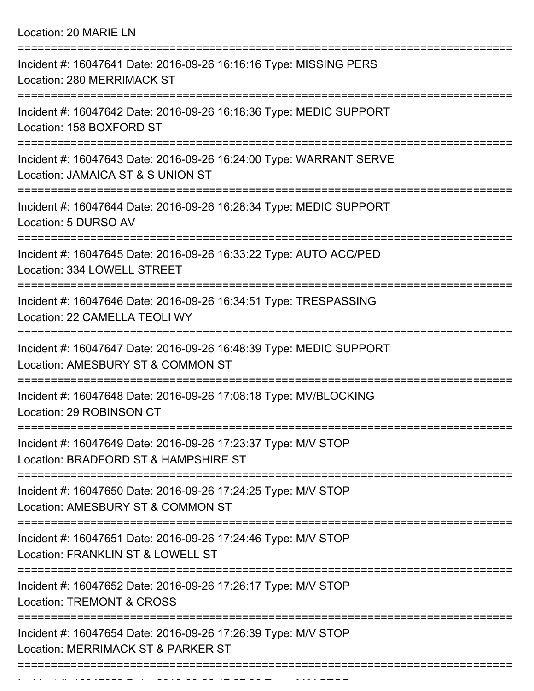Location: 20 MARIE LN

| Incident #: 16047641 Date: 2016-09-26 16:16:16 Type: MISSING PERS<br><b>Location: 280 MERRIMACK ST</b>                      |
|-----------------------------------------------------------------------------------------------------------------------------|
| Incident #: 16047642 Date: 2016-09-26 16:18:36 Type: MEDIC SUPPORT<br>Location: 158 BOXFORD ST                              |
| Incident #: 16047643 Date: 2016-09-26 16:24:00 Type: WARRANT SERVE<br>Location: JAMAICA ST & S UNION ST                     |
| Incident #: 16047644 Date: 2016-09-26 16:28:34 Type: MEDIC SUPPORT<br>Location: 5 DURSO AV                                  |
| =======================<br>Incident #: 16047645 Date: 2016-09-26 16:33:22 Type: AUTO ACC/PED<br>Location: 334 LOWELL STREET |
| Incident #: 16047646 Date: 2016-09-26 16:34:51 Type: TRESPASSING<br>Location: 22 CAMELLA TEOLI WY                           |
| Incident #: 16047647 Date: 2016-09-26 16:48:39 Type: MEDIC SUPPORT<br>Location: AMESBURY ST & COMMON ST                     |
| Incident #: 16047648 Date: 2016-09-26 17:08:18 Type: MV/BLOCKING<br>Location: 29 ROBINSON CT                                |
| Incident #: 16047649 Date: 2016-09-26 17:23:37 Type: M/V STOP<br>Location: BRADFORD ST & HAMPSHIRE ST                       |
| Incident #: 16047650 Date: 2016-09-26 17:24:25 Type: M/V STOP<br>Location: AMESBURY ST & COMMON ST                          |
| Incident #: 16047651 Date: 2016-09-26 17:24:46 Type: M/V STOP<br>Location: FRANKLIN ST & LOWELL ST                          |
| Incident #: 16047652 Date: 2016-09-26 17:26:17 Type: M/V STOP<br><b>Location: TREMONT &amp; CROSS</b>                       |
| Incident #: 16047654 Date: 2016-09-26 17:26:39 Type: M/V STOP<br>Location: MERRIMACK ST & PARKER ST                         |
|                                                                                                                             |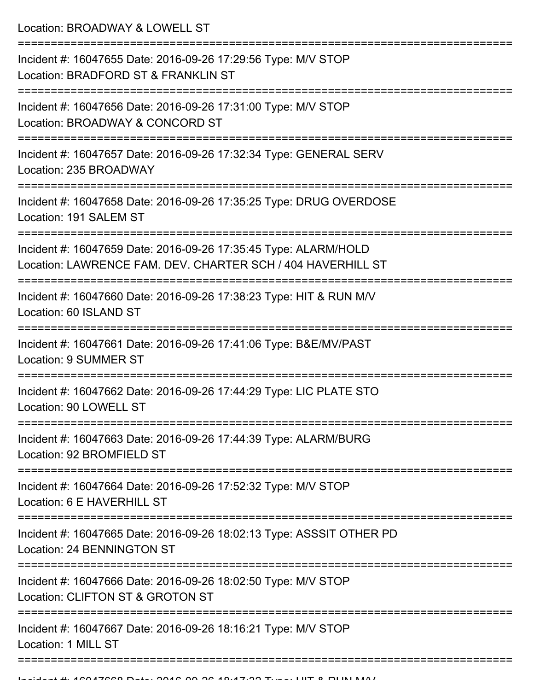Location: BROADWAY & LOWELL ST

| Incident #: 16047655 Date: 2016-09-26 17:29:56 Type: M/V STOP<br>Location: BRADFORD ST & FRANKLIN ST                           |
|--------------------------------------------------------------------------------------------------------------------------------|
| Incident #: 16047656 Date: 2016-09-26 17:31:00 Type: M/V STOP<br>Location: BROADWAY & CONCORD ST                               |
| Incident #: 16047657 Date: 2016-09-26 17:32:34 Type: GENERAL SERV<br>Location: 235 BROADWAY                                    |
| Incident #: 16047658 Date: 2016-09-26 17:35:25 Type: DRUG OVERDOSE<br>Location: 191 SALEM ST                                   |
| Incident #: 16047659 Date: 2016-09-26 17:35:45 Type: ALARM/HOLD<br>Location: LAWRENCE FAM. DEV. CHARTER SCH / 404 HAVERHILL ST |
| Incident #: 16047660 Date: 2016-09-26 17:38:23 Type: HIT & RUN M/V<br>Location: 60 ISLAND ST                                   |
| Incident #: 16047661 Date: 2016-09-26 17:41:06 Type: B&E/MV/PAST<br><b>Location: 9 SUMMER ST</b>                               |
| Incident #: 16047662 Date: 2016-09-26 17:44:29 Type: LIC PLATE STO<br>Location: 90 LOWELL ST                                   |
| Incident #: 16047663 Date: 2016-09-26 17:44:39 Type: ALARM/BURG<br>Location: 92 BROMFIELD ST                                   |
| Incident #: 16047664 Date: 2016-09-26 17:52:32 Type: M/V STOP<br>Location: 6 E HAVERHILL ST                                    |
| Incident #: 16047665 Date: 2016-09-26 18:02:13 Type: ASSSIT OTHER PD<br>Location: 24 BENNINGTON ST                             |
| Incident #: 16047666 Date: 2016-09-26 18:02:50 Type: M/V STOP<br>Location: CLIFTON ST & GROTON ST                              |
| Incident #: 16047667 Date: 2016-09-26 18:16:21 Type: M/V STOP<br>Location: 1 MILL ST                                           |
|                                                                                                                                |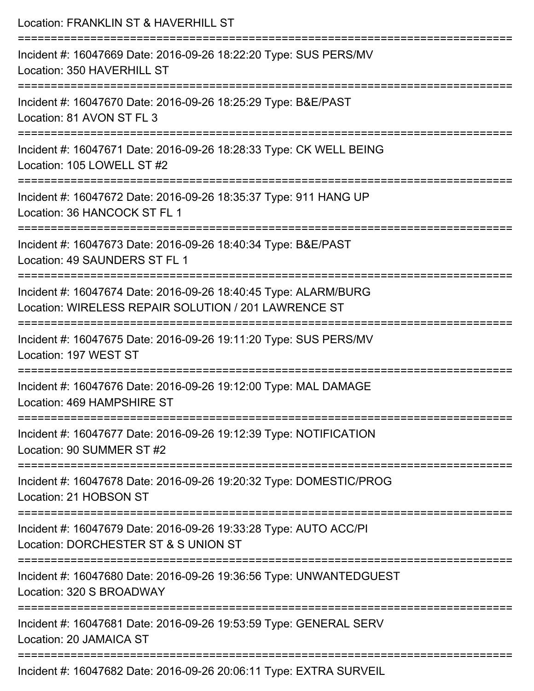| Location: FRANKLIN ST & HAVERHILL ST                                                                                                                             |
|------------------------------------------------------------------------------------------------------------------------------------------------------------------|
| Incident #: 16047669 Date: 2016-09-26 18:22:20 Type: SUS PERS/MV<br>Location: 350 HAVERHILL ST                                                                   |
| Incident #: 16047670 Date: 2016-09-26 18:25:29 Type: B&E/PAST<br>Location: 81 AVON ST FL 3                                                                       |
| Incident #: 16047671 Date: 2016-09-26 18:28:33 Type: CK WELL BEING<br>Location: 105 LOWELL ST #2                                                                 |
| Incident #: 16047672 Date: 2016-09-26 18:35:37 Type: 911 HANG UP<br>Location: 36 HANCOCK ST FL 1                                                                 |
| Incident #: 16047673 Date: 2016-09-26 18:40:34 Type: B&E/PAST<br>Location: 49 SAUNDERS ST FL 1                                                                   |
| =====================================<br>Incident #: 16047674 Date: 2016-09-26 18:40:45 Type: ALARM/BURG<br>Location: WIRELESS REPAIR SOLUTION / 201 LAWRENCE ST |
| Incident #: 16047675 Date: 2016-09-26 19:11:20 Type: SUS PERS/MV<br>Location: 197 WEST ST                                                                        |
| Incident #: 16047676 Date: 2016-09-26 19:12:00 Type: MAL DAMAGE<br>Location: 469 HAMPSHIRE ST                                                                    |
| Incident #: 16047677 Date: 2016-09-26 19:12:39 Type: NOTIFICATION<br>Location: 90 SUMMER ST #2                                                                   |
| Incident #: 16047678 Date: 2016-09-26 19:20:32 Type: DOMESTIC/PROG<br>Location: 21 HOBSON ST                                                                     |
| Incident #: 16047679 Date: 2016-09-26 19:33:28 Type: AUTO ACC/PI<br>Location: DORCHESTER ST & S UNION ST                                                         |
| Incident #: 16047680 Date: 2016-09-26 19:36:56 Type: UNWANTEDGUEST<br>Location: 320 S BROADWAY                                                                   |
| Incident #: 16047681 Date: 2016-09-26 19:53:59 Type: GENERAL SERV<br>Location: 20 JAMAICA ST                                                                     |
|                                                                                                                                                                  |

Incident #: 16047682 Date: 2016-09-26 20:06:11 Type: EXTRA SURVEIL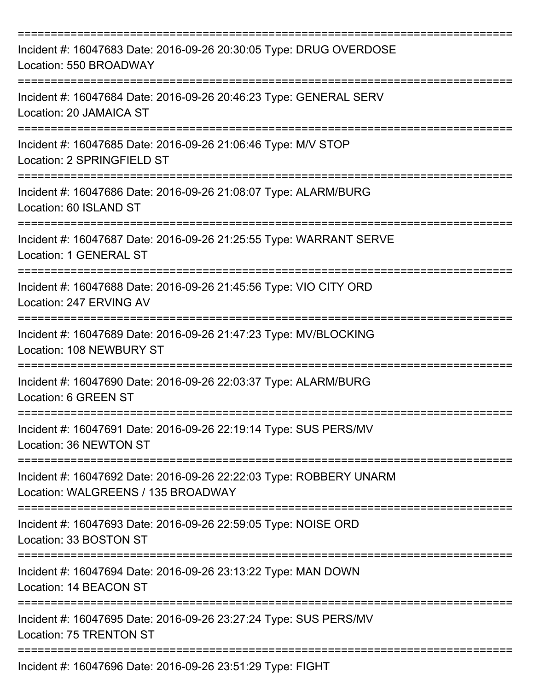| Incident #: 16047683 Date: 2016-09-26 20:30:05 Type: DRUG OVERDOSE<br>Location: 550 BROADWAY                         |
|----------------------------------------------------------------------------------------------------------------------|
| Incident #: 16047684 Date: 2016-09-26 20:46:23 Type: GENERAL SERV<br>Location: 20 JAMAICA ST                         |
| Incident #: 16047685 Date: 2016-09-26 21:06:46 Type: M/V STOP<br>Location: 2 SPRINGFIELD ST                          |
| Incident #: 16047686 Date: 2016-09-26 21:08:07 Type: ALARM/BURG<br>Location: 60 ISLAND ST                            |
| Incident #: 16047687 Date: 2016-09-26 21:25:55 Type: WARRANT SERVE<br>Location: 1 GENERAL ST                         |
| Incident #: 16047688 Date: 2016-09-26 21:45:56 Type: VIO CITY ORD<br>Location: 247 ERVING AV                         |
| Incident #: 16047689 Date: 2016-09-26 21:47:23 Type: MV/BLOCKING<br>Location: 108 NEWBURY ST                         |
| Incident #: 16047690 Date: 2016-09-26 22:03:37 Type: ALARM/BURG<br>Location: 6 GREEN ST                              |
| Incident #: 16047691 Date: 2016-09-26 22:19:14 Type: SUS PERS/MV<br>Location: 36 NEWTON ST<br>----------------       |
| Incident #: 16047692 Date: 2016-09-26 22:22:03 Type: ROBBERY UNARM<br>Location: WALGREENS / 135 BROADWAY             |
| Incident #: 16047693 Date: 2016-09-26 22:59:05 Type: NOISE ORD<br>Location: 33 BOSTON ST<br>======================== |
| Incident #: 16047694 Date: 2016-09-26 23:13:22 Type: MAN DOWN<br>Location: 14 BEACON ST                              |
| Incident #: 16047695 Date: 2016-09-26 23:27:24 Type: SUS PERS/MV<br>Location: 75 TRENTON ST                          |
| Incident #: 16047696 Date: 2016-09-26 23:51:29 Type: FIGHT                                                           |